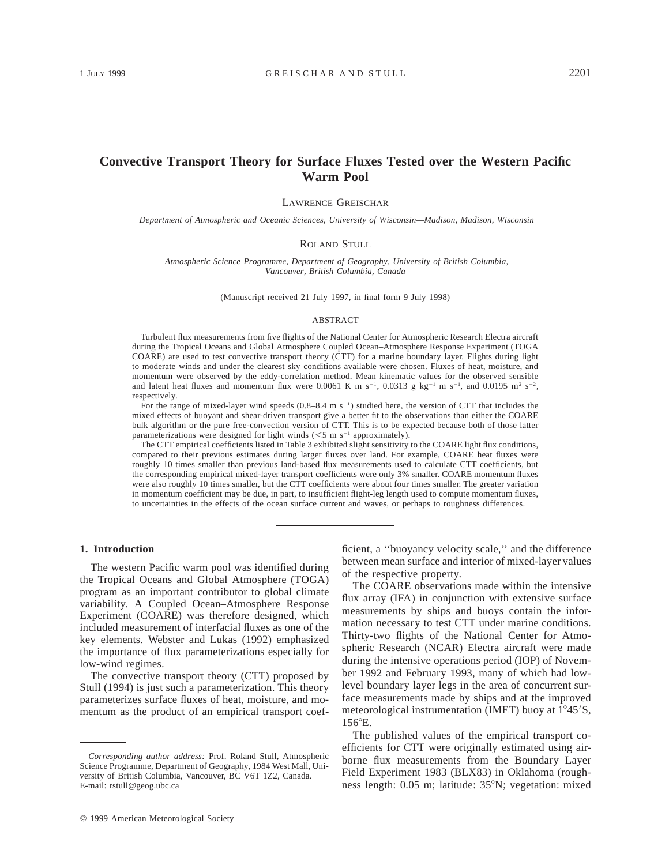# **Convective Transport Theory for Surface Fluxes Tested over the Western Pacific Warm Pool**

LAWRENCE GREISCHAR

*Department of Atmospheric and Oceanic Sciences, University of Wisconsin—Madison, Madison, Wisconsin*

#### ROLAND STULL

*Atmospheric Science Programme, Department of Geography, University of British Columbia, Vancouver, British Columbia, Canada*

(Manuscript received 21 July 1997, in final form 9 July 1998)

#### ABSTRACT

Turbulent flux measurements from five flights of the National Center for Atmospheric Research Electra aircraft during the Tropical Oceans and Global Atmosphere Coupled Ocean–Atmosphere Response Experiment (TOGA COARE) are used to test convective transport theory (CTT) for a marine boundary layer. Flights during light to moderate winds and under the clearest sky conditions available were chosen. Fluxes of heat, moisture, and momentum were observed by the eddy-correlation method. Mean kinematic values for the observed sensible and latent heat fluxes and momentum flux were 0.0061 K m s<sup>-1</sup>, 0.0313 g kg<sup>-1</sup> m s<sup>-1</sup>, and 0.0195 m<sup>2</sup> s<sup>-2</sup>, respectively.

For the range of mixed-layer wind speeds  $(0.8–8.4 \text{ m s}^{-1})$  studied here, the version of CTT that includes the mixed effects of buoyant and shear-driven transport give a better fit to the observations than either the COARE bulk algorithm or the pure free-convection version of CTT. This is to be expected because both of those latter parameterizations were designed for light winds  $(<5$  m s<sup>-1</sup> approximately).

The CTT empirical coefficients listed in Table 3 exhibited slight sensitivity to the COARE light flux conditions, compared to their previous estimates during larger fluxes over land. For example, COARE heat fluxes were roughly 10 times smaller than previous land-based flux measurements used to calculate CTT coefficients, but the corresponding empirical mixed-layer transport coefficients were only 3% smaller. COARE momentum fluxes were also roughly 10 times smaller, but the CTT coefficients were about four times smaller. The greater variation in momentum coefficient may be due, in part, to insufficient flight-leg length used to compute momentum fluxes, to uncertainties in the effects of the ocean surface current and waves, or perhaps to roughness differences.

## **1. Introduction**

The western Pacific warm pool was identified during the Tropical Oceans and Global Atmosphere (TOGA) program as an important contributor to global climate variability. A Coupled Ocean–Atmosphere Response Experiment (COARE) was therefore designed, which included measurement of interfacial fluxes as one of the key elements. Webster and Lukas (1992) emphasized the importance of flux parameterizations especially for low-wind regimes.

The convective transport theory (CTT) proposed by Stull (1994) is just such a parameterization. This theory parameterizes surface fluxes of heat, moisture, and momentum as the product of an empirical transport coefficient, a ''buoyancy velocity scale,'' and the difference between mean surface and interior of mixed-layer values of the respective property.

The COARE observations made within the intensive flux array (IFA) in conjunction with extensive surface measurements by ships and buoys contain the information necessary to test CTT under marine conditions. Thirty-two flights of the National Center for Atmospheric Research (NCAR) Electra aircraft were made during the intensive operations period (IOP) of November 1992 and February 1993, many of which had lowlevel boundary layer legs in the area of concurrent surface measurements made by ships and at the improved meteorological instrumentation (IMET) buoy at  $1^{\circ}45^{\prime}$ S,  $156^{\circ}$ E.

The published values of the empirical transport coefficients for CTT were originally estimated using airborne flux measurements from the Boundary Layer Field Experiment 1983 (BLX83) in Oklahoma (roughness length: 0.05 m; latitude: 35°N; vegetation: mixed

*Corresponding author address:* Prof. Roland Stull, Atmospheric Science Programme, Department of Geography, 1984 West Mall, University of British Columbia, Vancouver, BC V6T 1Z2, Canada. E-mail: rstull@geog.ubc.ca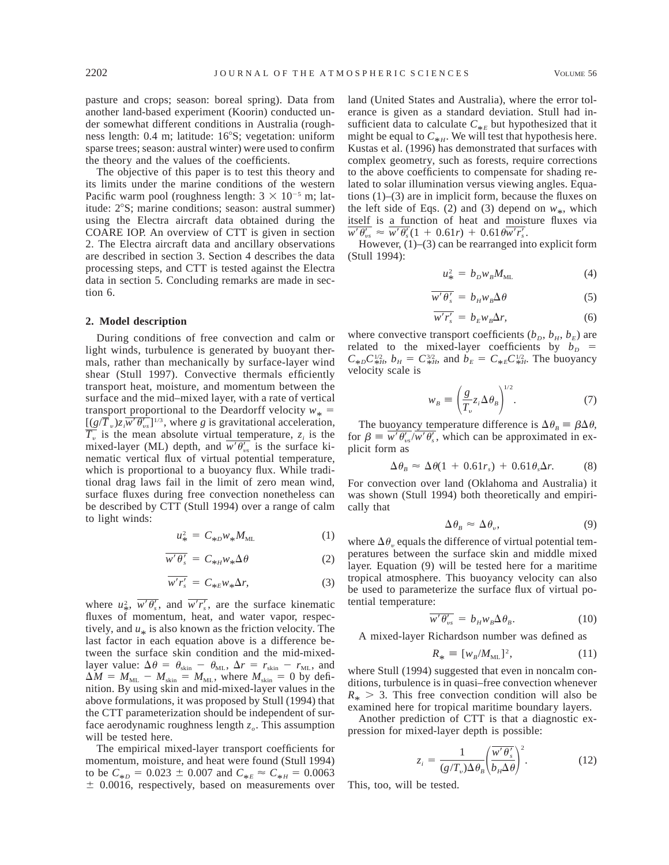pasture and crops; season: boreal spring). Data from another land-based experiment (Koorin) conducted under somewhat different conditions in Australia (roughness length: 0.4 m; latitude: 16°S; vegetation: uniform sparse trees; season: austral winter) were used to confirm the theory and the values of the coefficients.

The objective of this paper is to test this theory and its limits under the marine conditions of the western Pacific warm pool (roughness length:  $3 \times 10^{-5}$  m; latitude:  $2^{\circ}$ S; marine conditions; season: austral summer) using the Electra aircraft data obtained during the COARE IOP. An overview of CTT is given in section 2. The Electra aircraft data and ancillary observations are described in section 3. Section 4 describes the data processing steps, and CTT is tested against the Electra data in section 5. Concluding remarks are made in section 6.

#### **2. Model description**

During conditions of free convection and calm or light winds, turbulence is generated by buoyant thermals, rather than mechanically by surface-layer wind shear (Stull 1997). Convective thermals efficiently transport heat, moisture, and momentum between the surface and the mid–mixed layer, with a rate of vertical transport proportional to the Deardorff velocity  $w_* =$  $[(g/\overline{T}_v)z_i\overline{w'\theta'_{vs}}]^{1/3}$ , where *g* is gravitational acceleration,  $T<sub>v</sub>$  is the mean absolute virtual temperature,  $z<sub>i</sub>$  is the mixed-layer (ML) depth, and  $w'\theta'_{vs}$  is the surface kinematic vertical flux of virtual potential temperature, which is proportional to a buoyancy flux. While traditional drag laws fail in the limit of zero mean wind, surface fluxes during free convection nonetheless can be described by CTT (Stull 1994) over a range of calm to light winds:

$$
u_{*}^{2} = C_{*b} w_{*} M_{ML}
$$
 (1)

$$
\overline{w'\theta_s'} = C_{*H} w_* \Delta \theta \tag{2}
$$

$$
\overline{w'r'_s} = C_{*E}w_*\Delta r,\tag{3}
$$

where  $u^2_*$ ,  $\overline{w'\theta'_s}$ , and  $\overline{w'r'_s}$ , are the surface kinematic fluxes of momentum, heat, and water vapor, respectively, and  $u_*$  is also known as the friction velocity. The last factor in each equation above is a difference between the surface skin condition and the mid-mixedlayer value:  $\Delta \theta = \theta_{\text{skin}} - \theta_{\text{ML}}, \Delta r = r_{\text{skin}} - r_{\text{ML}},$  and  $\Delta M = M_{\text{ML}} - M_{\text{skin}} = M_{\text{ML}}$ , where  $M_{\text{skin}} = 0$  by definition. By using skin and mid-mixed-layer values in the above formulations, it was proposed by Stull (1994) that the CTT parameterization should be independent of surface aerodynamic roughness length  $z<sub>o</sub>$ . This assumption will be tested here.

The empirical mixed-layer transport coefficients for momentum, moisture, and heat were found (Stull 1994) to be  $C_{*D} = 0.023 \pm 0.007$  and  $C_{*E} \approx C_{*H} = 0.0063$  $±$  0.0016, respectively, based on measurements over land (United States and Australia), where the error tolerance is given as a standard deviation. Stull had insufficient data to calculate  $C_{*E}$  but hypothesized that it might be equal to  $C_{*H}$ . We will test that hypothesis here. Kustas et al. (1996) has demonstrated that surfaces with complex geometry, such as forests, require corrections to the above coefficients to compensate for shading related to solar illumination versus viewing angles. Equations (1)–(3) are in implicit form, because the fluxes on the left side of Eqs. (2) and (3) depend on  $w_*$ , which itself is a function of heat and moisture fluxes via  $\overline{w' \theta'_{ws}} \approx \overline{w' \theta'_{s}} (1 + 0.61r) + 0.61 \theta \overline{w' r'_{s}}$ .

However, (1)–(3) can be rearranged into explicit form (Stull 1994):

$$
u_{*}^{2} = b_{D} w_{B} M_{ML} \tag{4}
$$

$$
\overline{w'\theta'_s} = b_H w_B \Delta \theta \tag{5}
$$

$$
\overline{w' r'_s} = b_E w_B \Delta r, \tag{6}
$$

where convective transport coefficients  $(b_D, b_H, b_E)$  are related to the mixed-layer coefficients by  $b_D =$  $C_{*D}C_{*H}^{1/2}$ ,  $b_H = C_{*H}^{3/2}$ , and  $b_E = C_{*E}C_{*H}^{1/2}$ . The buoyancy velocity scale is

$$
w_B \equiv \left(\frac{g}{T_v} z_i \Delta \theta_B\right)^{1/2}.\tag{7}
$$

The buoyancy temperature difference is  $\Delta \theta_B \equiv \beta \Delta \theta$ , for  $\beta \equiv \overline{w' \theta'_{\nu s}} / \overline{w' \theta'_{s}}$ , which can be approximated in explicit form as

$$
\Delta \theta_B \approx \Delta \theta (1 + 0.61 r_s) + 0.61 \theta_s \Delta r. \tag{8}
$$

For convection over land (Oklahoma and Australia) it was shown (Stull 1994) both theoretically and empirically that

$$
\Delta \theta_B \approx \Delta \theta_v, \tag{9}
$$

where  $\Delta \theta$ , equals the difference of virtual potential temperatures between the surface skin and middle mixed layer. Equation (9) will be tested here for a maritime tropical atmosphere. This buoyancy velocity can also be used to parameterize the surface flux of virtual potential temperature:

$$
\overline{w'\theta'_{vs}} = b_H w_B \Delta \theta_B. \tag{10}
$$

A mixed-layer Richardson number was defined as

$$
R_* \equiv [w_B/M_{\rm ML}]^2, \qquad (11)
$$

where Stull (1994) suggested that even in noncalm conditions, turbulence is in quasi–free convection whenever  $R_* > 3$ . This free convection condition will also be examined here for tropical maritime boundary layers.

Another prediction of CTT is that a diagnostic expression for mixed-layer depth is possible:

$$
z_i = \frac{1}{(g/T_v)\Delta\theta_B} \left(\frac{\overline{w'\theta_s'}}{b_H\Delta\theta}\right)^2.
$$
 (12)

This, too, will be tested.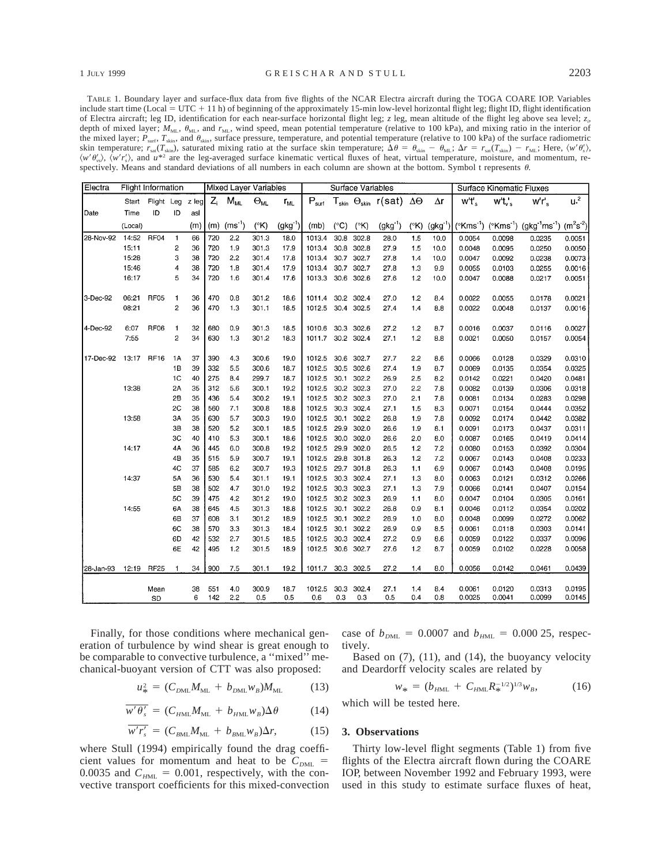TABLE 1. Boundary layer and surface-flux data from five flights of the NCAR Electra aircraft during the TOGA COARE IOP. Variables include start time (Local = UTC + 11 h) of beginning of the approximately 15-min low-level horizontal flight leg; flight ID, flight identification of Electra aircraft; leg ID, identification for each near-surface horizontal flight leg; *z* leg, mean altitude of the flight leg above sea level; *zi ,* depth of mixed layer;  $M<sub>ML</sub>$ ,  $\theta<sub>ML</sub>$ , and  $r<sub>ML</sub>$ , wind speed, mean potential temperature (relative to 100 kPa), and mixing ratio in the interior of the mixed layer;  $P_{\text{surf}}$ ,  $T_{\text{skin}}$ , and  $\theta_{\text{skin}}$ , surface pressure, temperature, and potential temperature (relative to 100 kPa) of the surface radiometric skin temperature;  $r_{\text{sat}}(T_{\text{skin}})$ , saturated mixing ratio at the surface skin temperature;  $\Delta \theta = \theta_{\text{skin}} - \theta_{\text{ML}}$ ;  $\Delta r = r_{\text{sat}}(T_{\text{skin}}) - r_{\text{ML}}$ ; Here,  $\langle w' \theta'_{s} \rangle$ ,  $\langle w' \theta'_{\rm ss} \rangle$ ,  $\langle w' \theta'_{\rm ss} \rangle$ , and  $u^{*2}$  are the leg-averaged surface kinematic vertical fluxes of heat, virtual temperature, moisture, and momentum, respectively. Means and standard deviations of all numbers in each column are shown at the bottom. Symbol t represents  $\theta$ .

| Electra    | <b>Flight Information</b> |                  |                         |       |       | Mixed Laver Variables |               |              | Surface Variables |               |               |                                                 | <b>Surface Kinematic Fluxes</b> |              |                     |           |                                                                                                       |                |
|------------|---------------------------|------------------|-------------------------|-------|-------|-----------------------|---------------|--------------|-------------------|---------------|---------------|-------------------------------------------------|---------------------------------|--------------|---------------------|-----------|-------------------------------------------------------------------------------------------------------|----------------|
|            | Start                     | Flight Leg       |                         | z leg | $Z_i$ | $M_{ML}$              | $\Theta_{ML}$ | $r_{ML}$     | $P_{surf}$        |               |               | ${\sf T}_{\sf skin}$ $\Theta_{\sf skin}$ r(sat) | ΔΘ                              | $\Delta r$   | $w't'$ <sub>s</sub> | $wt_v$ 's | $wr_s$                                                                                                | u <sup>2</sup> |
| Date       | Time                      | ID               | ID                      | asl   |       |                       |               |              |                   |               |               |                                                 |                                 |              |                     |           |                                                                                                       |                |
|            | (Local)                   |                  |                         | (m)   | (m)   | $(ms^{-1})$           | $(^{\circ}K)$ | $(gkg^{-1})$ | (mb)              | $(^{\circ}C)$ | $(^{\circ}K)$ | $(gkg^{-1})$                                    | $(^{\circ}K)$                   | $(gkg^{-1})$ |                     |           | ( $(Kms^{-1})$ ( $(Kms^{-1})$ (gkg <sup>-1</sup> ms <sup>-1</sup> ) (m <sup>2</sup> s <sup>-2</sup> ) |                |
| 28-Nov-92  | 14:52                     | RF04             | $\mathbf{1}$            | 66    | 720   | 2.2                   | 301.3         | 18.0         | 1013.4            | 30.8          | 302.8         | 28.0                                            | 1.5                             | 10.0         | 0.0054              | 0.0098    | 0.0235                                                                                                | 0.0051         |
|            | 15:11                     |                  | $\overline{\mathbf{c}}$ | 36    | 720   | 1.9                   | 301.3         | 17.9         | 1013.4            | 30.8          | 302.8         | 27.9                                            | 1.5                             | 10.0         | 0.0048              | 0.0095    | 0.0250                                                                                                | 0.0050         |
|            | 15:28                     |                  | 3                       | 38    | 720   | 2.2                   | 301.4         | 17.8         | 1013.4            | 30.7          | 302.7         | 27.8                                            | 1.4                             | 10.0         | 0.0047              | 0.0092    | 0.0238                                                                                                | 0.0073         |
|            | 15:46                     |                  | 4                       | 38    | 720   | 1.8                   | 301.4         | 17.9         | 1013.4            | 30.7          | 302.7         | 27.8                                            | 1.3                             | 9.9          | 0.0055              | 0.0103    | 0.0255                                                                                                | 0.0016         |
|            | 16:17                     |                  | 5                       | 34    | 720   | 1.6                   | 301.4         | 17.6         | 1013.3            | 30.6          | 302.6         | 27.6                                            | 1.2                             | 10.0         | 0.0047              | 0.0088    | 0.0217                                                                                                | 0.0051         |
| 3-Dec-92   | 06:21                     | RF <sub>05</sub> | $\mathbf{1}$            | 36    | 470   | 0.8                   | 301.2         | 18.6         | 1011.4            | 30.2          | 302.4         | 27.0                                            | 12                              | 8.4          | 0.0022              | 0.0055    | 0.0178                                                                                                | 0.0021         |
|            | 08:21                     |                  | $\overline{c}$          | 36    | 470   | 1.3                   | 301.1         | 18.5         | 1012.5            |               | 30.4 302.5    | 27.4                                            | 1.4                             | 8.8          | 0.0022              | 0.0048    | 0.0137                                                                                                | 0.0016         |
| 4-Dec-92   | 6:07                      | <b>RF06</b>      | 1                       | 32    | 680   | 0.9                   | 301.3         | 18.5         | 1010.6            | 30.3          | 302.6         | 27.2                                            | 1.2                             | 8.7          | 0.0016              | 0.0037    | 0.0116                                                                                                | 0.0027         |
|            | 7:55                      |                  | $\overline{\mathbf{c}}$ | 34    | 630   | 1.3                   | 301.2         | 18.3         | 1011.7            |               | 30.2 302.4    | 27.1                                            | 1.2                             | 8.8          | 0.0021              | 0.0050    | 0.0157                                                                                                | 0.0054         |
| 17-Dec-92  | 13:17                     | <b>RF16</b>      | <b>1A</b>               | 37    | 390   | 4.3                   | 300.6         | 19.0         | 1012.5            | 30.6          | 302.7         | 27.7                                            | 2.2                             | 8.6          | 0.0066              | 0.0128    | 0.0329                                                                                                | 0.0310         |
|            |                           |                  | 1B                      | 39    | 332   | 5.5                   | 300.6         | 18.7         | 1012.5            | 30.5          | 302.6         | 27.4                                            | 1.9                             | 8.7          | 0.0069              | 0.0135    | 0.0354                                                                                                | 0.0325         |
|            |                           |                  | 1C                      | 40    | 275   | 8.4                   | 299.7         | 18.7         | 1012.5            | 30.1          | 302.2         | 26.9                                            | 2.5                             | 8.2          | 0.0142              | 0.0221    | 0.0420                                                                                                | 0.0481         |
|            | 13:38                     |                  | 2A                      | 35    | 312   | 5.6                   | 300.1         | 19.2         | 1012.5            | 30.2          | 302.3         | 27.0                                            | 2.2                             | 7.8          | 0.0082              | 0.0139    | 0.0306                                                                                                | 0.0318         |
|            |                           |                  | 2B                      | 35    | 436   | 5.4                   | 300.2         | 19.1         | 1012.5            | 30.2          | 302.3         | 27.0                                            | 2.1                             | 7.8          | 0.0081              | 0.0134    | 0.0283                                                                                                | 0.0298         |
|            |                           |                  | 2C                      | 38    | 560   | 7.1                   | 300.8         | 18.8         | 1012.5            | 30.3          | 302.4         | 27.1                                            | 1.5                             | 8.3          | 0.0071              | 0.0154    | 0.0444                                                                                                | 0.0352         |
|            | 13:58                     |                  | 3A                      | 35    | 630   | 5.7                   | 300.3         | 19.0         | 1012.5            | 30.1          | 302.2         | 26.8                                            | 1.9                             | 7.8          | 0.0092              | 0.0174    | 0.0442                                                                                                | 0.0382         |
|            |                           |                  | 3B                      | 38    | 520   | 5.2                   | 300.1         | 18.5         | 1012.5            | 29.9          | 302.0         | 26.6                                            | 1.9                             | 8.1          | 0.0091              | 0.0173    | 0.0437                                                                                                | 0.0311         |
|            |                           |                  | 3C                      | 40    | 410   | 5.3                   | 300.1         | 18.6         | 1012.5            | 30.0          | 302.0         | 26.6                                            | 2.0                             | 8.0          | 0.0087              | 0.0165    | 0.0419                                                                                                | 0.0414         |
|            | 14:17                     |                  | 4A                      | 36    | 445   | 6.0                   | 300.8         | 19.2         | 1012.5            | 29.9          | 302.0         | 26.5                                            | 1.2                             | 7.2          | 0.0080              | 0.0153    | 0.0392                                                                                                | 0.0304         |
|            |                           |                  | 4B                      | 35    | 515   | 5.9                   | 300.7         | 19.1         | 1012.5            | 29.8          | 301.8         | 26.3                                            | 12                              | 7.2          | 0.0067              | 0.0143    | 0.0408                                                                                                | 0.0233         |
|            |                           |                  | 4C                      | 37    | 585   | 6.2                   | 300.7         | 19.3         | 1012.5            | 29.7          | 301.8         | 26.3                                            | 1.1                             | 6.9          | 0.0067              | 0.0143    | 0.0408                                                                                                | 0.0195         |
|            | 14:37                     |                  | 5A                      | 36    | 530   | 5.4                   | 301.1         | 19.1         | 1012.5            | 30.3          | 302.4         | 27.1                                            | 1.3                             | 8.0          | 0.0063              | 0.0121    | 0.0312                                                                                                | 0.0266         |
|            |                           |                  | 5B                      | 38    | 502   | 4.7                   | 301.0         | 19.2         | 1012.5            | 30.3          | 302.3         | 27.1                                            | 13                              | 7.9          | 0.0066              | 0.0141    | 0.0407                                                                                                | 0.0154         |
|            |                           |                  | 5C                      | 39    | 475   | 4.2                   | 301.2         | 19.0         | 1012.5            | 30.2          | 302.3         | 26.9                                            | 1.1                             | 8.0          | 0.0047              | 0.0104    | 0.0305                                                                                                | 0.0161         |
|            | 14:55                     |                  | 6A                      | 38    | 645   | 4.5                   | 301.3         | 18.8         | 1012.5            | 30.1          | 302.2         | 26.8                                            | 0.9                             | 8.1          | 0.0046              | 0.0112    | 0.0354                                                                                                | 0.0202         |
|            |                           |                  | 6B                      | 37    | 608   | 3.1                   | 301.2         | 18.9         | 1012.5            | 30.1          | 302.2         | 26.9                                            | 1.0                             | 8.0          | 0.0048              | 0.0099    | 0.0272                                                                                                | 0.0062         |
|            |                           |                  | 6C                      | 38    | 570   | 3.3                   | 301.3         | 18.4         | 1012.5            | 30.1          | 302.2         | 26.9                                            | 0.9                             | 8.5          | 0.0061              | 0.0118    | 0.0303                                                                                                | 0.0141         |
|            |                           |                  | 6D                      | 42    | 532   | 2.7                   | 301.5         | 18.5         | 1012.5            | 30.3          | 302.4         | 27.2                                            | 0.9                             | 8.6          | 0.0059              | 0.0122    | 0.0337                                                                                                | 0.0096         |
|            |                           |                  | 6E                      | 42    | 495   | 1.2                   | 301.5         | 18.9         | 1012.5            | 30.6          | 302.7         | 27.6                                            | 1.2                             | 8.7          | 0.0059              | 0.0102    | 0.0228                                                                                                | 0.0058         |
| '28-Jan-93 | 12:19                     | <b>RF25</b>      | 1                       | 34    | 900   | 7.5                   | 301.1         | 19.2         | 1011.7            | 30.3          | 302.5         | 27.2                                            | 1.4                             | 8.0          | 0.0056              | 0.0142    | 0.0461                                                                                                | 0.0439         |
|            |                           | Mean             |                         | 38    | 551   | 4.0                   | 300.9         | 18.7         | 1012.5            | 30.3          | 302.4         | 27.1                                            | 1.4                             | 8.4          | 0.0061              | 0.0120    | 0.0313                                                                                                | 0.0195         |
|            |                           | <b>SD</b>        |                         | 6     | 142   | 2.2                   | 0.5           | 0.5          | 0.6               | 0.3           | 0.3           | 0.5                                             | 0.4                             | 0.8          | 0.0025              | 0.0041    | 0.0099                                                                                                | 0.0145         |

Finally, for those conditions where mechanical generation of turbulence by wind shear is great enough to be comparable to convective turbulence, a ''mixed'' mechanical-buoyant version of CTT was also proposed:

$$
u_{*}^{2} = (C_{DML}M_{ML} + b_{DML}W_{B})M_{ML}
$$
 (13)

$$
\overline{w'\theta_s'} = (C_{HML}M_{ML} + b_{HML}W_B)\Delta\theta \qquad (14)
$$

$$
\overline{w'r_s'} = (C_{BML}M_{ML} + b_{BML}w_B)\Delta r, \qquad (15)
$$

where Stull (1994) empirically found the drag coefficient values for momentum and heat to be  $C_{DML}$  = 0.0035 and  $C_{HML} = 0.001$ , respectively, with the convective transport coefficients for this mixed-convection case of  $b_{DML} = 0.0007$  and  $b_{HML} = 0.000$  25, respectively.

Based on  $(7)$ ,  $(11)$ , and  $(14)$ , the buoyancy velocity and Deardorff velocity scales are related by

$$
w_* = (b_{HML} + C_{HML} R_*^{-1/2})^{1/3} w_B, \qquad (16)
$$

which will be tested here.

#### **3. Observations**

Thirty low-level flight segments (Table 1) from five flights of the Electra aircraft flown during the COARE IOP, between November 1992 and February 1993, were used in this study to estimate surface fluxes of heat,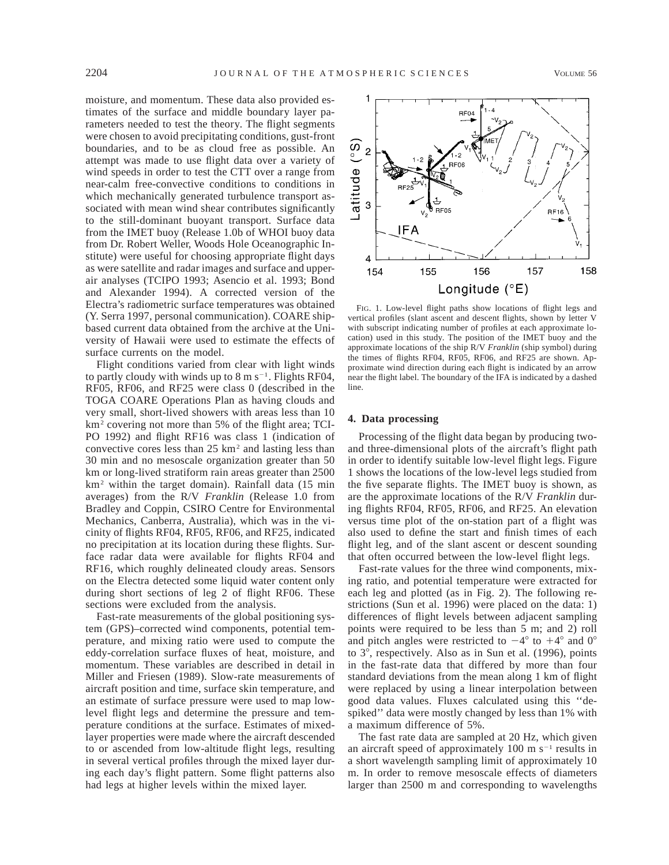moisture, and momentum. These data also provided estimates of the surface and middle boundary layer parameters needed to test the theory. The flight segments were chosen to avoid precipitating conditions, gust-front boundaries, and to be as cloud free as possible. An attempt was made to use flight data over a variety of wind speeds in order to test the CTT over a range from near-calm free-convective conditions to conditions in which mechanically generated turbulence transport associated with mean wind shear contributes significantly to the still-dominant buoyant transport. Surface data from the IMET buoy (Release 1.0b of WHOI buoy data from Dr. Robert Weller, Woods Hole Oceanographic Institute) were useful for choosing appropriate flight days as were satellite and radar images and surface and upperair analyses (TCIPO 1993; Asencio et al. 1993; Bond and Alexander 1994). A corrected version of the Electra's radiometric surface temperatures was obtained (Y. Serra 1997, personal communication). COARE shipbased current data obtained from the archive at the University of Hawaii were used to estimate the effects of surface currents on the model.

Flight conditions varied from clear with light winds to partly cloudy with winds up to  $8 \text{ m s}^{-1}$ . Flights RF04, RF05, RF06, and RF25 were class 0 (described in the TOGA COARE Operations Plan as having clouds and very small, short-lived showers with areas less than 10 km<sup>2</sup> covering not more than 5% of the flight area; TCI-PO 1992) and flight RF16 was class 1 (indication of convective cores less than 25 km2 and lasting less than 30 min and no mesoscale organization greater than 50 km or long-lived stratiform rain areas greater than 2500 km2 within the target domain). Rainfall data (15 min averages) from the R/V *Franklin* (Release 1.0 from Bradley and Coppin, CSIRO Centre for Environmental Mechanics, Canberra, Australia), which was in the vicinity of flights RF04, RF05, RF06, and RF25, indicated no precipitation at its location during these flights. Surface radar data were available for flights RF04 and RF16, which roughly delineated cloudy areas. Sensors on the Electra detected some liquid water content only during short sections of leg 2 of flight RF06. These sections were excluded from the analysis.

Fast-rate measurements of the global positioning system (GPS)–corrected wind components, potential temperature, and mixing ratio were used to compute the eddy-correlation surface fluxes of heat, moisture, and momentum. These variables are described in detail in Miller and Friesen (1989). Slow-rate measurements of aircraft position and time, surface skin temperature, and an estimate of surface pressure were used to map lowlevel flight legs and determine the pressure and temperature conditions at the surface. Estimates of mixedlayer properties were made where the aircraft descended to or ascended from low-altitude flight legs, resulting in several vertical profiles through the mixed layer during each day's flight pattern. Some flight patterns also had legs at higher levels within the mixed layer.

FIG. 1. Low-level flight paths show locations of flight legs and vertical profiles (slant ascent and descent flights, shown by letter V with subscript indicating number of profiles at each approximate location) used in this study. The position of the IMET buoy and the approximate locations of the ship R/V *Franklin* (ship symbol) during the times of flights RF04, RF05, RF06, and RF25 are shown. Approximate wind direction during each flight is indicated by an arrow near the flight label. The boundary of the IFA is indicated by a dashed line.

## **4. Data processing**

Processing of the flight data began by producing twoand three-dimensional plots of the aircraft's flight path in order to identify suitable low-level flight legs. Figure 1 shows the locations of the low-level legs studied from the five separate flights. The IMET buoy is shown, as are the approximate locations of the R/V *Franklin* during flights RF04, RF05, RF06, and RF25. An elevation versus time plot of the on-station part of a flight was also used to define the start and finish times of each flight leg, and of the slant ascent or descent sounding that often occurred between the low-level flight legs.

Fast-rate values for the three wind components, mixing ratio, and potential temperature were extracted for each leg and plotted (as in Fig. 2). The following restrictions (Sun et al. 1996) were placed on the data: 1) differences of flight levels between adjacent sampling points were required to be less than 5 m; and 2) roll and pitch angles were restricted to  $-4^{\circ}$  to  $+4^{\circ}$  and 0° to  $3^\circ$ , respectively. Also as in Sun et al. (1996), points in the fast-rate data that differed by more than four standard deviations from the mean along 1 km of flight were replaced by using a linear interpolation between good data values. Fluxes calculated using this ''despiked'' data were mostly changed by less than 1% with a maximum difference of 5%.

The fast rate data are sampled at 20 Hz, which given an aircraft speed of approximately 100 m  $s^{-1}$  results in a short wavelength sampling limit of approximately 10 m. In order to remove mesoscale effects of diameters larger than 2500 m and corresponding to wavelengths

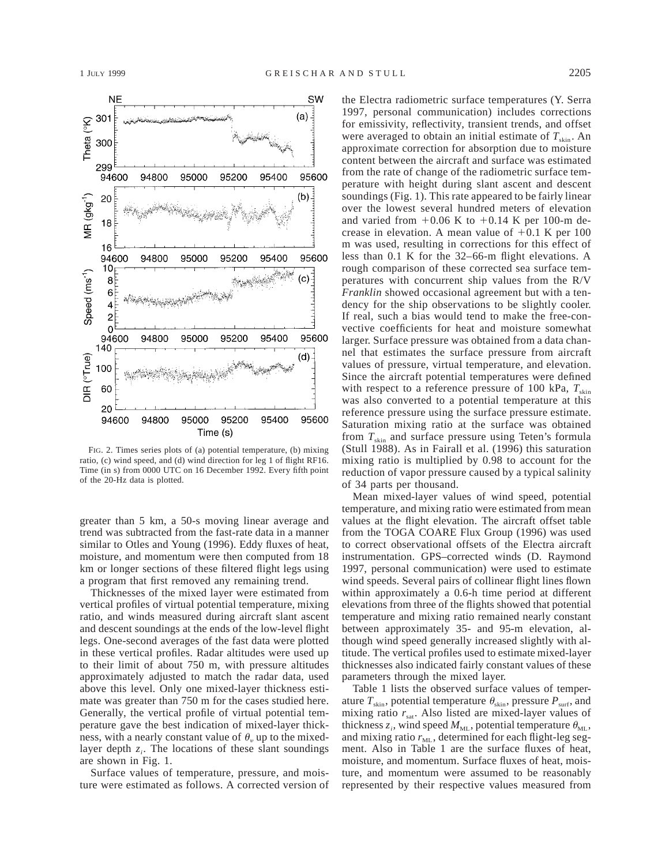

FIG. 2. Times series plots of (a) potential temperature, (b) mixing ratio, (c) wind speed, and (d) wind direction for leg 1 of flight RF16. Time (in s) from 0000 UTC on 16 December 1992. Every fifth point of the 20-Hz data is plotted.

greater than 5 km, a 50-s moving linear average and trend was subtracted from the fast-rate data in a manner similar to Otles and Young (1996). Eddy fluxes of heat, moisture, and momentum were then computed from 18 km or longer sections of these filtered flight legs using a program that first removed any remaining trend.

Thicknesses of the mixed layer were estimated from vertical profiles of virtual potential temperature, mixing ratio, and winds measured during aircraft slant ascent and descent soundings at the ends of the low-level flight legs. One-second averages of the fast data were plotted in these vertical profiles. Radar altitudes were used up to their limit of about 750 m, with pressure altitudes approximately adjusted to match the radar data, used above this level. Only one mixed-layer thickness estimate was greater than 750 m for the cases studied here. Generally, the vertical profile of virtual potential temperature gave the best indication of mixed-layer thickness, with a nearly constant value of  $\theta$ , up to the mixedlayer depth  $z_i$ . The locations of these slant soundings are shown in Fig. 1.

Surface values of temperature, pressure, and moisture were estimated as follows. A corrected version of the Electra radiometric surface temperatures (Y. Serra 1997, personal communication) includes corrections for emissivity, reflectivity, transient trends, and offset were averaged to obtain an initial estimate of  $T_{\text{skin}}$ . An approximate correction for absorption due to moisture content between the aircraft and surface was estimated from the rate of change of the radiometric surface temperature with height during slant ascent and descent soundings (Fig. 1). This rate appeared to be fairly linear over the lowest several hundred meters of elevation and varied from  $+0.06$  K to  $+0.14$  K per 100-m decrease in elevation. A mean value of  $+0.1$  K per 100 m was used, resulting in corrections for this effect of less than 0.1 K for the 32–66-m flight elevations. A rough comparison of these corrected sea surface temperatures with concurrent ship values from the R/V *Franklin* showed occasional agreement but with a tendency for the ship observations to be slightly cooler. If real, such a bias would tend to make the free-convective coefficients for heat and moisture somewhat larger. Surface pressure was obtained from a data channel that estimates the surface pressure from aircraft values of pressure, virtual temperature, and elevation. Since the aircraft potential temperatures were defined with respect to a reference pressure of 100 kPa,  $T_{\text{skin}}$ was also converted to a potential temperature at this reference pressure using the surface pressure estimate. Saturation mixing ratio at the surface was obtained from  $T_{\text{skin}}$  and surface pressure using Teten's formula (Stull 1988). As in Fairall et al. (1996) this saturation mixing ratio is multiplied by 0.98 to account for the reduction of vapor pressure caused by a typical salinity of 34 parts per thousand.

Mean mixed-layer values of wind speed, potential temperature, and mixing ratio were estimated from mean values at the flight elevation. The aircraft offset table from the TOGA COARE Flux Group (1996) was used to correct observational offsets of the Electra aircraft instrumentation. GPS–corrected winds (D. Raymond 1997, personal communication) were used to estimate wind speeds. Several pairs of collinear flight lines flown within approximately a 0.6-h time period at different elevations from three of the flights showed that potential temperature and mixing ratio remained nearly constant between approximately 35- and 95-m elevation, although wind speed generally increased slightly with altitude. The vertical profiles used to estimate mixed-layer thicknesses also indicated fairly constant values of these parameters through the mixed layer.

Table 1 lists the observed surface values of temperature  $T_{\text{skin}}$ , potential temperature  $\theta_{\text{skin}}$ , pressure  $P_{\text{surf}}$ , and mixing ratio  $r_{sat}$ . Also listed are mixed-layer values of thickness  $z_i$ , wind speed  $M_{ML}$ , potential temperature  $\theta_{ML}$ , and mixing ratio  $r_{ML}$ , determined for each flight-leg segment. Also in Table 1 are the surface fluxes of heat, moisture, and momentum. Surface fluxes of heat, moisture, and momentum were assumed to be reasonably represented by their respective values measured from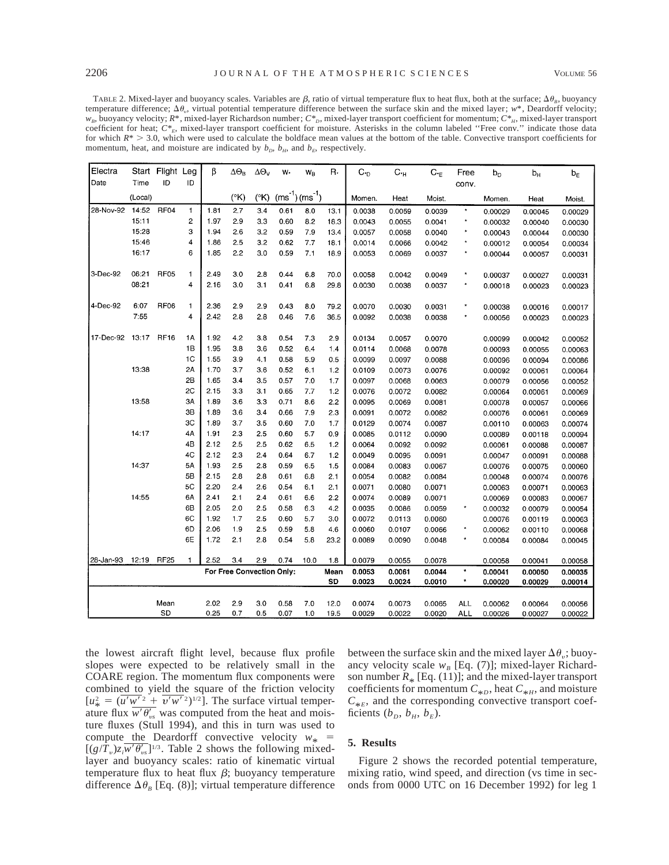TABLE 2. Mixed-layer and buoyancy scales. Variables are  $\beta$ , ratio of virtual temperature flux to heat flux, both at the surface;  $\Delta\theta_B$ , buoyancy temperature difference;  $\Delta \theta_v$ , virtual potential temperature difference between the surface skin and the mixed layer;  $w^*$ , Deardorff velocity; *w*<sub>B</sub>, buoyancy velocity; *R*\*, mixed-layer Richardson number; *C\**<sub>*p*</sub>, mixed-layer transport coefficient for momentum; *C\*<sub>H</sub>*, mixed-layer transport coefficient for heat;  $C^*_{E}$ , mixed-layer transport coefficient for moisture. Asterisks in the column labeled "Free conv." indicate those data for which  $R^*$  > 3.0, which were used to calculate the boldface mean values at the bottom of the table. Convective transport coefficients for momentum, heat, and moisture are indicated by  $b_D$ ,  $b_H$ , and  $b_E$ , respectively.

| Electra   | Start   | Flight Leg       |                | β    | $\Delta\Theta_{\rm B}$    | $\Delta\Theta_V$ | w.   | $W_B$                   | R.   | $C_{D}$ | $C_{\cdot H}$ | $C_{\tau E}$ | Free         | b <sub>D</sub> | $b_H$   | $b_{E}$ |
|-----------|---------|------------------|----------------|------|---------------------------|------------------|------|-------------------------|------|---------|---------------|--------------|--------------|----------------|---------|---------|
| Date      | Time    | ID               | ID             |      |                           |                  |      |                         |      |         |               |              | conv.        |                |         |         |
|           | (Local) |                  |                |      | $(^{\circ}K)$             | $(^{\circ}K)$    |      | $(ms^{-1})$ $(ms^{-1})$ |      | Momen.  | Heat          | Moist.       |              | Momen.         | Heat    | Moist.  |
| 28-Nov-92 | 14:52   | RF <sub>04</sub> | 1              | 1.81 | 2.7                       | 3.4              | 0.61 | 8.0                     | 13.1 | 0.0038  | 0.0059        | 0.0039       | $\star$      | 0.00029        | 0.00045 | 0.00029 |
|           | 15:11   |                  | 2              | 1.97 | 2.9                       | 3.3              | 0.60 | 8.2                     | 18.3 | 0.0043  | 0.0055        | 0.0041       | ×            | 0.00032        | 0.00040 | 0.00030 |
|           | 15:28   |                  | 3              | 1.94 | 2.6                       | 3.2              | 0.59 | 7.9                     | 13.4 | 0.0057  | 0.0058        | 0.0040       | $\star$      | 0.00043        | 0.00044 | 0.00030 |
|           | 15:46   |                  | 4              | 1.86 | 2.5                       | 3.2              | 0.62 | 7.7                     | 18.1 | 0.0014  | 0.0066        | 0.0042       | $\star$      | 0.00012        | 0.00054 | 0.00034 |
|           | 16:17   |                  | 6              | 1.85 | 2.2                       | 3.0              | 0.59 | 7.1                     | 18.9 | 0.0053  | 0.0069        | 0.0037       | $\star$      | 0.00044        | 0.00057 | 0.00031 |
| 3-Dec-92  | 06:21   | <b>RF05</b>      | $\mathbf{1}$   | 2.49 | 3.0                       | 2.8              | 0.44 | 6.8                     | 70.0 | 0.0058  | 0.0042        | 0.0049       | *            | 0.00037        | 0.00027 | 0.00031 |
|           | 08:21   |                  | 4              | 2.16 | 3.0                       | 3.1              | 0.41 | 6.8                     | 29.8 | 0.0030  | 0.0038        | 0.0037       | $\star$      | 0.00018        | 0.00023 | 0.00023 |
|           |         |                  |                |      |                           |                  |      |                         |      |         |               |              |              |                |         |         |
| 4-Dec-92  | 6:07    | RF <sub>06</sub> | $\mathbf{1}$   | 2.36 | 2.9                       | 2.9              | 0.43 | 8.0                     | 79.2 | 0.0070  | 0.0030        | 0.0031       | ×            | 0.00038        | 0.00016 | 0.00017 |
|           | 7.55    |                  | 4              | 2.42 | 2.8                       | 2.8              | 0.46 | 7.6                     | 36.5 | 0.0092  | 0.0038        | 0.0038       | ×            | 0.00056        | 0.00023 | 0.00023 |
|           |         |                  |                |      |                           |                  |      |                         |      |         |               |              |              |                |         |         |
| 17-Dec-92 | 13:17   | <b>RF16</b>      | 1A             | 1.92 | 4.2                       | 3.8              | 0.54 | 7.3                     | 2.9  | 0.0134  | 0.0057        | 0.0070       |              | 0.00099        | 0.00042 | 0.00052 |
|           |         |                  | 1B             | 1.95 | 3.8                       | 3.6              | 0.52 | 6.4                     | 1.4  | 0.0114  | 0.0068        | 0.0078       |              | 0.00093        | 0.00055 | 0.00063 |
|           |         |                  | 1 <sub>C</sub> | 1.55 | 3.9                       | 4.1              | 0.58 | 5.9                     | 0.5  | 0.0099  | 0.0097        | 0.0088       |              | 0.00096        | 0.00094 | 0.00086 |
|           | 13:38   |                  | 2A             | 1.70 | 3.7                       | 3.6              | 0.52 | 61                      | 1.2  | 0.0109  | 0.0073        | 0.0076       |              | 0.00092        | 0.00061 | 0.00064 |
|           |         |                  | 2B             | 1.65 | 3.4                       | 3.5              | 0.57 | 7.0                     | 1.7  | 0.0097  | 0.0068        | 0.0063       |              | 0.00079        | 0.00056 | 0.00052 |
|           |         |                  | 2C             | 2.15 | 3.3                       | 3.1              | 0.65 | 7.7                     | 1.2  | 0.0076  | 0.0072        | 0.0082       |              | 0.00064        | 0.00061 | 0.00069 |
|           | 13:58   |                  | 3A             | 1.89 | 3.6                       | 3.3              | 0.71 | 8.6                     | 2.2  | 0.0095  | 0.0069        | 0.0081       |              | 0.00078        | 0.00057 | 0.00066 |
|           |         |                  | 3B             | 1.89 | 3.6                       | 3.4              | 0.66 | 7.9                     | 2.3  | 0.0091  | 0.0072        | 0.0082       |              | 0.00076        | 0.00061 | 0.00069 |
|           |         |                  | 3C             | 1.89 | 3.7                       | 3.5              | 0.60 | 7.0                     | 1.7  | 0.0129  | 0.0074        | 0.0087       |              | 0.00110        | 0.00063 | 0.00074 |
|           | 14:17   |                  | 4Α             | 1.91 | 2.3                       | 2.5              | 0.60 | 5.7                     | 0.9  | 0.0085  | 0.0112        | 0.0090       |              | 0.00089        | 0.00118 | 0.00094 |
|           |         |                  | 4B             | 2.12 | 2.5                       | 2.5              | 0.62 | 6.5                     | 1.2  | 0.0064  | 0.0092        | 0.0092       |              | 0.00061        | 0.00088 | 0.00087 |
|           |         |                  | 4C             | 2.12 | 2.3                       | 2.4              | 0.64 | 6.7                     | 1.2  | 0.0049  | 0.0095        | 0.0091       |              | 0.00047        | 0.00091 | 0.00088 |
|           | 14:37   |                  | 5A             | 1.93 | 2.5                       | 2.8              | 0.59 | 6.5                     | 1.5  | 0.0084  | 0.0083        | 0.0067       |              | 0.00076        | 0.00075 | 0.00060 |
|           |         |                  | 5Β             | 2.15 | 2.8                       | 2.8              | 0.61 | 6.8                     | 2.1  | 0.0054  | 0.0082        | 0.0084       |              | 0.00048        | 0.00074 | 0.00076 |
|           |         |                  | 5C             | 2.20 | 2.4                       | 2.6              | 0.54 | 6.1                     | 2.1  | 0.0071  | 0.0080        | 0.0071       |              | 0.00063        | 0.00071 | 0.00063 |
|           | 14:55   |                  | 6A             | 2.41 | 2.1                       | 2.4              | 0.61 | 6.6                     | 2.2  | 0.0074  | 0.0089        | 0.0071       |              | 0.00069        | 0.00083 | 0.00067 |
|           |         |                  | 6B             | 2.05 | 2.0                       | 2.5              | 0.58 | 6.3                     | 4.2  | 0.0035  | 0.0086        | 0.0059       | ۰            | 0.00032        | 0.00079 | 0.00054 |
|           |         |                  | 6C             | 1.92 | 1.7                       | 2.5              | 0.60 | 5.7                     | 3.0  | 0.0072  | 0.0113        | 0.0060       |              | 0.00076        | 0.00119 | 0.00063 |
|           |         |                  | 6D             | 2.06 | 1.9                       | 2.5              | 0.59 | 5.8                     | 4.6  | 0.0060  | 0.0107        | 0.0066       | $\star$      | 0.00062        | 0.00110 | 0.00068 |
|           |         |                  | 6E             | 1.72 | 2.1                       | 2.8              | 0.54 | 5.8                     | 23.2 | 0.0089  | 0.0090        | 0.0048       | $\star$      | 0.00084        | 0.00084 | 0.00045 |
| 28-Jan-93 | 12:19   | <b>RF25</b>      | 1              | 2.52 | 3.4                       | 2.9              | 0.74 | 10.0                    | 1.8  | 0.0079  | 0.0055        | 0.0078       |              | 0.00058        | 0.00041 | 0.00058 |
|           |         |                  |                |      | For Free Convection Only: |                  |      |                         | Mean | 0.0053  | 0.0061        | 0.0044       | $\star$      | 0.00041        | 0.00050 | 0.00035 |
|           |         |                  |                |      |                           |                  |      |                         | SD   | 0.0023  | 0.0024        | 0.0010       | $\pmb{\ast}$ | 0.00020        | 0.00029 | 0.00014 |
|           |         |                  |                |      |                           |                  |      |                         |      |         |               |              |              |                |         |         |
|           |         | Mean             |                | 2.02 | 2.9                       | 3.0              | 0.58 | 7.0                     | 12.0 | 0.0074  | 0.0073        | 0.0065       | <b>ALL</b>   | 0.00062        | 0.00064 | 0.00056 |
|           |         | <b>SD</b>        |                | 0.25 | 0.7                       | 0.5              | 0.07 | 1.0                     | 19.5 | 0.0029  | 0.0022        | 0.0020       | <b>ALL</b>   | 0.00026        | 0.00027 | 0.00022 |

the lowest aircraft flight level, because flux profile slopes were expected to be relatively small in the COARE region. The momentum flux components were combined to yield the square of the friction velocity  $[u^2_{\ast} = (u'w'^2 + v'w'^2)^{1/2}]$ . The surface virtual temperature flux  $\overline{w' \theta'_{\nu s}}$  was computed from the heat and moisture fluxes (Stull 1994), and this in turn was used to compute the Deardorff convective velocity  $w_*$  =  $[(g/T_v)z_i w' \theta'_{vs}]^{1/3}$ . Table 2 shows the following mixedlayer and buoyancy scales: ratio of kinematic virtual temperature flux to heat flux  $\beta$ ; buoyancy temperature difference  $\Delta \theta_B$  [Eq. (8)]; virtual temperature difference between the surface skin and the mixed layer  $\Delta\theta_{\nu}$ ; buoyancy velocity scale  $w_B$  [Eq. (7)]; mixed-layer Richardson number  $R_*$  [Eq. (11)]; and the mixed-layer transport coefficients for momentum  $C_{*D}$ , heat  $C_{*H}$ , and moisture  $C_{*E}$ , and the corresponding convective transport coefficients  $(b_D, b_H, b_E)$ .

# **5. Results**

Figure 2 shows the recorded potential temperature, mixing ratio, wind speed, and direction (vs time in seconds from 0000 UTC on 16 December 1992) for leg 1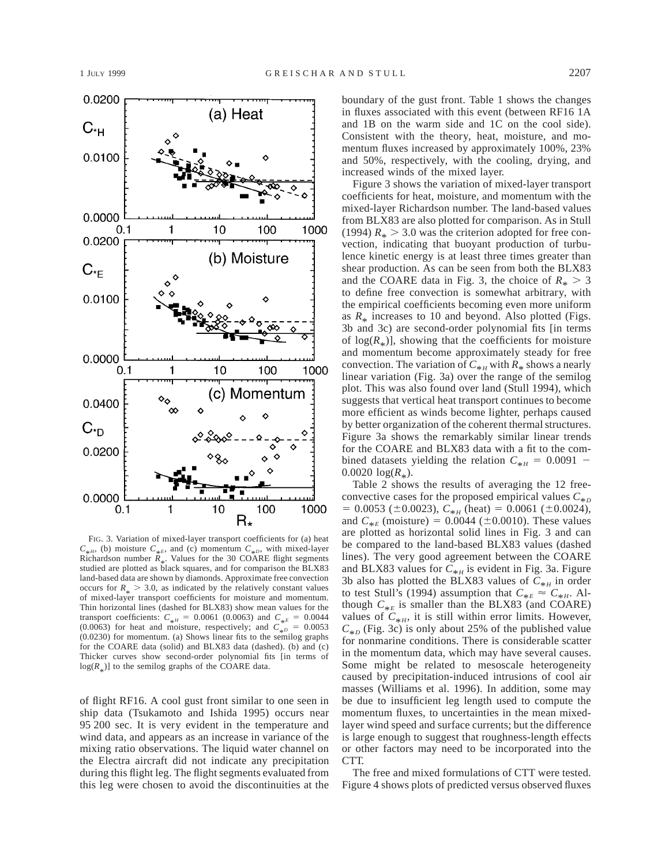

FIG. 3. Variation of mixed-layer transport coefficients for (a) heat  $C_{*H}$ , (b) moisture  $C_{*E}$ , and (c) momentum  $C_{*D}$ , with mixed-layer Richardson number  $R_{*}$ . Values for the 30 COARE flight segments<br>studied are plotted as block sequence and for comparison the PLY82 studied are plotted as black squares, and for comparison the BLX83 land-based data are shown by diamonds. Approximate free convection occurs for  $R_* > 3.0$ , as indicated by the relatively constant values<br>of mixed lever transport coefficients for moisture and momentum of mixed-layer transport coefficients for moisture and momentum. Thin horizontal lines (dashed for BLX83) show mean values for the transport coefficients:  $C_{*H} = 0.0061$  (0.0063) and  $C_{*E} = 0.0044$ (0.0063) for heat and moisture, respectively; and  $C_{\pm D} = 0.0053$ (0.0230) for momentum. (a) Shows linear fits to the semilog graphs for the COARE data (solid) and BLX83 data (dashed). (b) and (c) Thicker curves show second-order polynomial fits [in terms of  $log(R_*)$ ] to the semilog graphs of the COARE data.

of flight RF16. A cool gust front similar to one seen in ship data (Tsukamoto and Ishida 1995) occurs near 95 200 sec. It is very evident in the temperature and wind data, and appears as an increase in variance of the mixing ratio observations. The liquid water channel on the Electra aircraft did not indicate any precipitation during this flight leg. The flight segments evaluated from this leg were chosen to avoid the discontinuities at the

boundary of the gust front. Table 1 shows the changes in fluxes associated with this event (between RF16 1A and 1B on the warm side and 1C on the cool side). Consistent with the theory, heat, moisture, and momentum fluxes increased by approximately 100%, 23% and 50%, respectively, with the cooling, drying, and increased winds of the mixed layer.

Figure 3 shows the variation of mixed-layer transport coefficients for heat, moisture, and momentum with the mixed-layer Richardson number. The land-based values from BLX83 are also plotted for comparison. As in Stull (1994)  $R_* > 3.0$  was the criterion adopted for free convection, indicating that buoyant production of turbulence kinetic energy is at least three times greater than shear production. As can be seen from both the BLX83 and the COARE data in Fig. 3, the choice of  $R_* > 3$ to define free convection is somewhat arbitrary, with the empirical coefficients becoming even more uniform as  $R_*$  increases to 10 and beyond. Also plotted (Figs. 3b and 3c) are second-order polynomial fits [in terms of  $log(R_*)$ ], showing that the coefficients for moisture and momentum become approximately steady for free convection. The variation of  $C_{*H}$  with  $R_*$  shows a nearly linear variation (Fig. 3a) over the range of the semilog plot. This was also found over land (Stull 1994), which suggests that vertical heat transport continues to become more efficient as winds become lighter, perhaps caused by better organization of the coherent thermal structures. Figure 3a shows the remarkably similar linear trends for the COARE and BLX83 data with a fit to the combined datasets yielding the relation  $C_{*H} = 0.0091$  –  $0.0020 \log(R_*)$ .

Table 2 shows the results of averaging the 12 freeconvective cases for the proposed empirical values  $C_{*D}$  $= 0.0053$  ( $\pm 0.0023$ ),  $C_{*H}$  (heat) = 0.0061 ( $\pm 0.0024$ ), and  $C_{*E}$  (moisture) = 0.0044 ( $\pm$ 0.0010). These values are plotted as horizontal solid lines in Fig. 3 and can be compared to the land-based BLX83 values (dashed lines). The very good agreement between the COARE and BLX83 values for  $C_{*H}$  is evident in Fig. 3a. Figure 3b also has plotted the BLX83 values of  $C_{*H}$  in order to test Stull's (1994) assumption that  $C_{*E} \approx C_{*H}$ . Although  $C_{*E}$  is smaller than the BLX83 (and COARE) values of  $C_{*H}$ , it is still within error limits. However,  $C_{*p}$  (Fig. 3c) is only about 25% of the published value for nonmarine conditions. There is considerable scatter in the momentum data, which may have several causes. Some might be related to mesoscale heterogeneity caused by precipitation-induced intrusions of cool air masses (Williams et al. 1996). In addition, some may be due to insufficient leg length used to compute the momentum fluxes, to uncertainties in the mean mixedlayer wind speed and surface currents; but the difference is large enough to suggest that roughness-length effects or other factors may need to be incorporated into the CTT.

The free and mixed formulations of CTT were tested. Figure 4 shows plots of predicted versus observed fluxes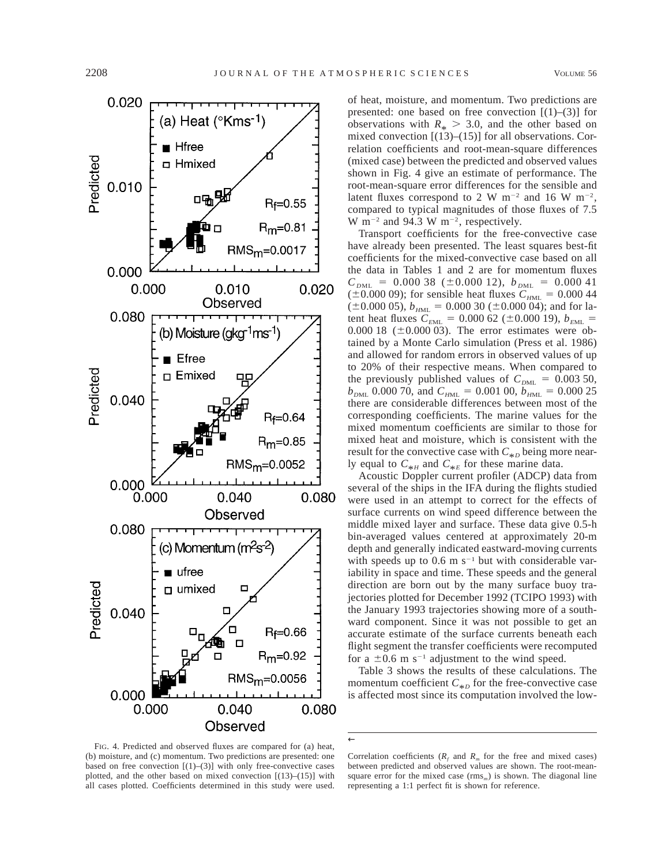

of heat, moisture, and momentum. Two predictions are presented: one based on free convection  $[(1)–(3)]$  for observations with  $R_* > 3.0$ , and the other based on mixed convection [(13)–(15)] for all observations. Correlation coefficients and root-mean-square differences (mixed case) between the predicted and observed values shown in Fig. 4 give an estimate of performance. The root-mean-square error differences for the sensible and latent fluxes correspond to 2 W m<sup>-2</sup> and 16 W m<sup>-2</sup>, compared to typical magnitudes of those fluxes of 7.5 W m<sup>-2</sup> and 94.3 W m<sup>-2</sup>, respectively.

Transport coefficients for the free-convective case have already been presented. The least squares best-fit coefficients for the mixed-convective case based on all the data in Tables 1 and 2 are for momentum fluxes  $C_{DML}$  = 0.000 38 ( $\pm$ 0.000 12),  $b_{DML}$  = 0.000 41 ( $\pm$ 0.000 09); for sensible heat fluxes  $C_{HML} = 0.000 44$  $(\pm 0.000 05)$ ,  $b_{HML} = 0.000 30 (\pm 0.000 04)$ ; and for latent heat fluxes  $C_{\text{EML}} = 0.000$  62 ( $\pm$ 0.000 19),  $b_{\text{EML}} =$ 0.000 18 ( $\pm$ 0.000 03). The error estimates were obtained by a Monte Carlo simulation (Press et al. 1986) and allowed for random errors in observed values of up to 20% of their respective means. When compared to the previously published values of  $C_{DML} = 0.003 50$ ,  $b_{DML}$  0.000 70, and  $C_{HML} = 0.001$  00,  $b_{HML} = 0.000$  25 there are considerable differences between most of the corresponding coefficients. The marine values for the mixed momentum coefficients are similar to those for mixed heat and moisture, which is consistent with the result for the convective case with  $C_{*p}$  being more nearly equal to  $C_{*H}$  and  $C_{*E}$  for these marine data.

Acoustic Doppler current profiler (ADCP) data from several of the ships in the IFA during the flights studied were used in an attempt to correct for the effects of surface currents on wind speed difference between the middle mixed layer and surface. These data give 0.5-h bin-averaged values centered at approximately 20-m depth and generally indicated eastward-moving currents with speeds up to  $0.6$  m s<sup>-1</sup> but with considerable variability in space and time. These speeds and the general direction are born out by the many surface buoy trajectories plotted for December 1992 (TCIPO 1993) with the January 1993 trajectories showing more of a southward component. Since it was not possible to get an accurate estimate of the surface currents beneath each flight segment the transfer coefficients were recomputed for a  $\pm 0.6$  m s<sup>-1</sup> adjustment to the wind speed.

Table 3 shows the results of these calculations. The momentum coefficient  $C_{*D}$  for the free-convective case is affected most since its computation involved the low-

FIG. 4. Predicted and observed fluxes are compared for (a) heat, (b) moisture, and (c) momentum. Two predictions are presented: one based on free convection  $[(1)-(3)]$  with only free-convective cases plotted, and the other based on mixed convection  $[(13)–(15)]$  with all cases plotted. Coefficients determined in this study were used.

←

Correlation coefficients  $(R_f$  and  $R_m$  for the free and mixed cases) between predicted and observed values are shown. The root-meansquare error for the mixed case  $(rms_m)$  is shown. The diagonal line representing a 1:1 perfect fit is shown for reference.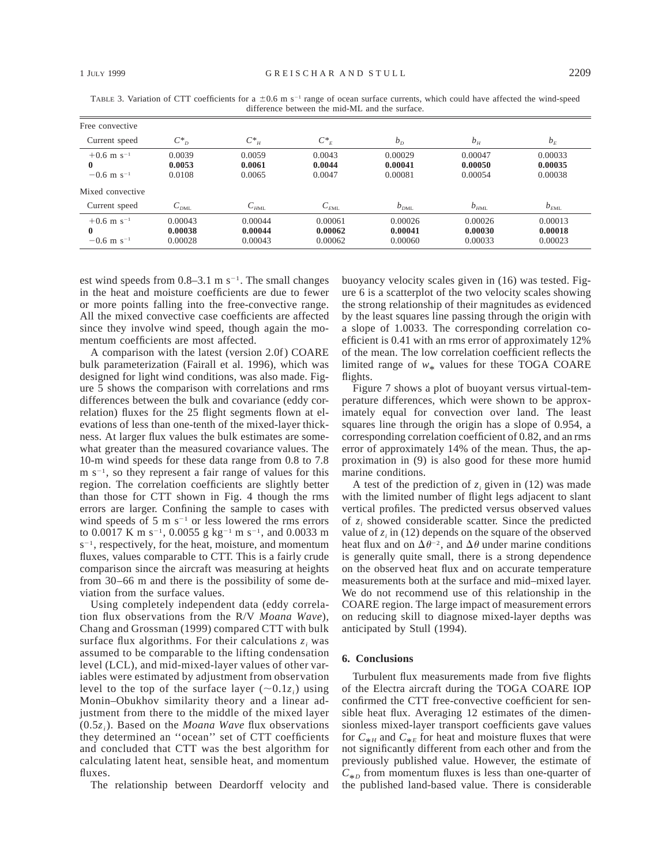| Free convective                                                  |                               |                               |                               |                               |                               |                               |
|------------------------------------------------------------------|-------------------------------|-------------------------------|-------------------------------|-------------------------------|-------------------------------|-------------------------------|
| Current speed                                                    | $C^*_{D}$                     | $C^*$ <sub>H</sub>            | $C^*_{E}$                     | $b_{\scriptscriptstyle D}$    | b <sub>H</sub>                | $b_F$                         |
| $+0.6$ m s <sup>-1</sup><br>$\bf{0}$<br>$-0.6$ m s <sup>-1</sup> | 0.0039<br>0.0053<br>0.0108    | 0.0059<br>0.0061<br>0.0065    | 0.0043<br>0.0044<br>0.0047    | 0.00029<br>0.00041<br>0.00081 | 0.00047<br>0.00050<br>0.00054 | 0.00033<br>0.00035<br>0.00038 |
| Mixed convective<br>Current speed                                | $C_{_{DML}}$                  | $C_{HML}$                     | $C_{EML}$                     | $b_{DML}$                     | $b_{HML}$                     | $b_{EML}$                     |
| $+0.6$ m s <sup>-1</sup><br>$\bf{0}$<br>$-0.6$ m s <sup>-1</sup> | 0.00043<br>0.00038<br>0.00028 | 0.00044<br>0.00044<br>0.00043 | 0.00061<br>0.00062<br>0.00062 | 0.00026<br>0.00041<br>0.00060 | 0.00026<br>0.00030<br>0.00033 | 0.00013<br>0.00018<br>0.00023 |

TABLE 3. Variation of CTT coefficients for a  $\pm 0.6$  m s<sup>-1</sup> range of ocean surface currents, which could have affected the wind-speed difference between the mid-ML and the surface.

est wind speeds from  $0.8-3.1$  m s<sup>-1</sup>. The small changes in the heat and moisture coefficients are due to fewer or more points falling into the free-convective range. All the mixed convective case coefficients are affected since they involve wind speed, though again the momentum coefficients are most affected.

A comparison with the latest (version 2.0f) COARE bulk parameterization (Fairall et al. 1996), which was designed for light wind conditions, was also made. Figure 5 shows the comparison with correlations and rms differences between the bulk and covariance (eddy correlation) fluxes for the 25 flight segments flown at elevations of less than one-tenth of the mixed-layer thickness. At larger flux values the bulk estimates are somewhat greater than the measured covariance values. The 10-m wind speeds for these data range from 0.8 to 7.8  $m s^{-1}$ , so they represent a fair range of values for this region. The correlation coefficients are slightly better than those for CTT shown in Fig. 4 though the rms errors are larger. Confining the sample to cases with wind speeds of 5 m  $s^{-1}$  or less lowered the rms errors to 0.0017 K m s<sup>-1</sup>, 0.0055 g kg<sup>-1</sup> m s<sup>-1</sup>, and 0.0033 m  $s^{-1}$ , respectively, for the heat, moisture, and momentum fluxes, values comparable to CTT. This is a fairly crude comparison since the aircraft was measuring at heights from 30–66 m and there is the possibility of some deviation from the surface values.

Using completely independent data (eddy correlation flux observations from the R/V *Moana Wave*), Chang and Grossman (1999) compared CTT with bulk surface flux algorithms. For their calculations  $z_i$  was assumed to be comparable to the lifting condensation level (LCL), and mid-mixed-layer values of other variables were estimated by adjustment from observation level to the top of the surface layer  $(\sim 0.1z_i)$  using Monin–Obukhov similarity theory and a linear adjustment from there to the middle of the mixed layer (0.5*zi*). Based on the *Moana Wave* flux observations they determined an ''ocean'' set of CTT coefficients and concluded that CTT was the best algorithm for calculating latent heat, sensible heat, and momentum fluxes.

The relationship between Deardorff velocity and

buoyancy velocity scales given in (16) was tested. Figure 6 is a scatterplot of the two velocity scales showing the strong relationship of their magnitudes as evidenced by the least squares line passing through the origin with a slope of 1.0033. The corresponding correlation coefficient is 0.41 with an rms error of approximately 12% of the mean. The low correlation coefficient reflects the limited range of  $w_*$  values for these TOGA COARE flights.

Figure 7 shows a plot of buoyant versus virtual-temperature differences, which were shown to be approximately equal for convection over land. The least squares line through the origin has a slope of 0.954, a corresponding correlation coefficient of 0.82, and an rms error of approximately 14% of the mean. Thus, the approximation in (9) is also good for these more humid marine conditions.

A test of the prediction of  $z_i$  given in (12) was made with the limited number of flight legs adjacent to slant vertical profiles. The predicted versus observed values of *zi* showed considerable scatter. Since the predicted value of  $z_i$  in (12) depends on the square of the observed heat flux and on  $\Delta\theta^{-2}$ , and  $\Delta\theta$  under marine conditions is generally quite small, there is a strong dependence on the observed heat flux and on accurate temperature measurements both at the surface and mid–mixed layer. We do not recommend use of this relationship in the COARE region. The large impact of measurement errors on reducing skill to diagnose mixed-layer depths was anticipated by Stull (1994).

## **6. Conclusions**

Turbulent flux measurements made from five flights of the Electra aircraft during the TOGA COARE IOP confirmed the CTT free-convective coefficient for sensible heat flux. Averaging 12 estimates of the dimensionless mixed-layer transport coefficients gave values for  $C_{*H}$  and  $C_{*E}$  for heat and moisture fluxes that were not significantly different from each other and from the previously published value. However, the estimate of  $C_{*p}$  from momentum fluxes is less than one-quarter of the published land-based value. There is considerable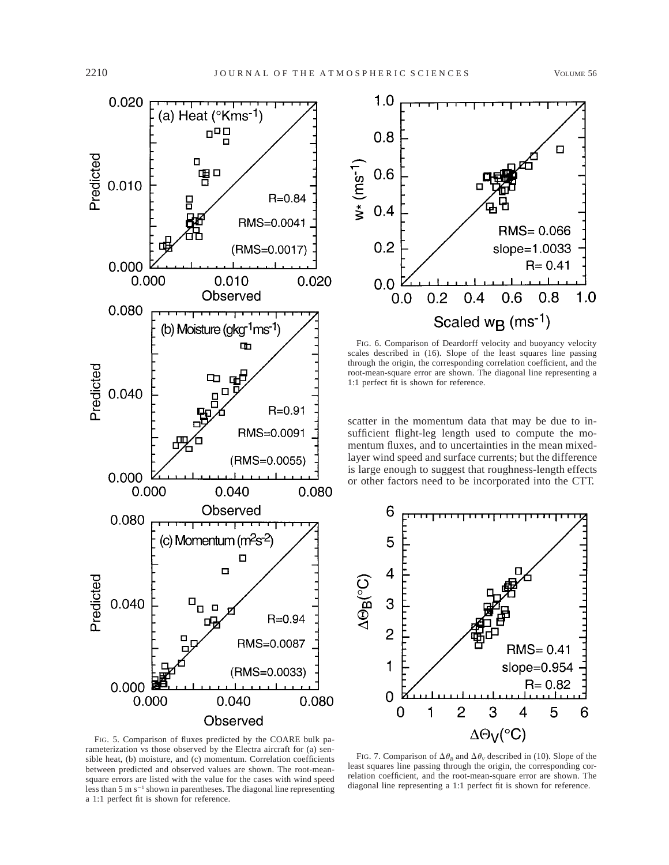



FIG. 6. Comparison of Deardorff velocity and buoyancy velocity scales described in (16). Slope of the least squares line passing through the origin, the corresponding correlation coefficient, and the root-mean-square error are shown. The diagonal line representing a 1:1 perfect fit is shown for reference.

scatter in the momentum data that may be due to insufficient flight-leg length used to compute the momentum fluxes, and to uncertainties in the mean mixedlayer wind speed and surface currents; but the difference is large enough to suggest that roughness-length effects or other factors need to be incorporated into the CTT.



FIG. 5. Comparison of fluxes predicted by the COARE bulk parameterization vs those observed by the Electra aircraft for (a) sensible heat, (b) moisture, and (c) momentum. Correlation coefficients between predicted and observed values are shown. The root-meansquare errors are listed with the value for the cases with wind speed less than  $5 \text{ m s}^{-1}$  shown in parentheses. The diagonal line representing a 1:1 perfect fit is shown for reference.

FIG. 7. Comparison of  $\Delta\theta_B$  and  $\Delta\theta_V$  described in (10). Slope of the least squares line passing through the origin, the corresponding correlation coefficient, and the root-mean-square error are shown. The diagonal line representing a 1:1 perfect fit is shown for reference.